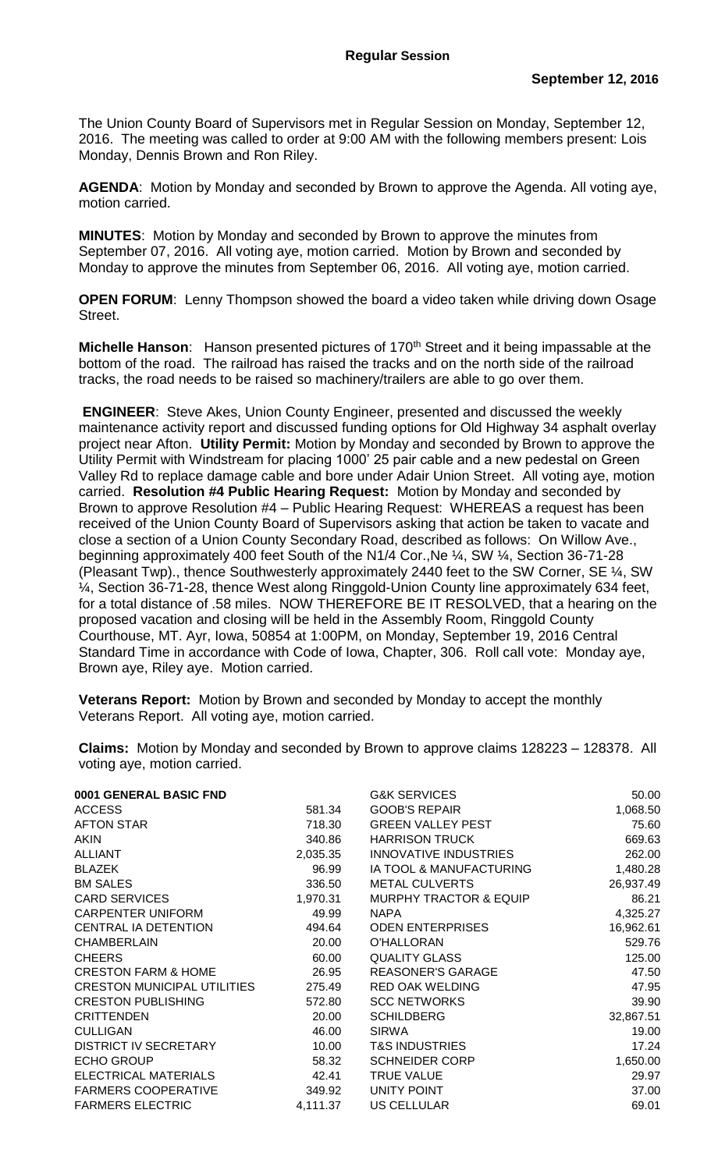The Union County Board of Supervisors met in Regular Session on Monday, September 12, 2016. The meeting was called to order at 9:00 AM with the following members present: Lois Monday, Dennis Brown and Ron Riley.

**AGENDA**: Motion by Monday and seconded by Brown to approve the Agenda. All voting aye, motion carried.

**MINUTES**: Motion by Monday and seconded by Brown to approve the minutes from September 07, 2016. All voting aye, motion carried. Motion by Brown and seconded by Monday to approve the minutes from September 06, 2016. All voting aye, motion carried.

**OPEN FORUM**: Lenny Thompson showed the board a video taken while driving down Osage Street.

**Michelle Hanson**: Hanson presented pictures of 170<sup>th</sup> Street and it being impassable at the bottom of the road. The railroad has raised the tracks and on the north side of the railroad tracks, the road needs to be raised so machinery/trailers are able to go over them.

**ENGINEER**: Steve Akes, Union County Engineer, presented and discussed the weekly maintenance activity report and discussed funding options for Old Highway 34 asphalt overlay project near Afton. **Utility Permit:** Motion by Monday and seconded by Brown to approve the Utility Permit with Windstream for placing 1000' 25 pair cable and a new pedestal on Green Valley Rd to replace damage cable and bore under Adair Union Street. All voting aye, motion carried. **Resolution #4 Public Hearing Request:** Motion by Monday and seconded by Brown to approve Resolution #4 – Public Hearing Request: WHEREAS a request has been received of the Union County Board of Supervisors asking that action be taken to vacate and close a section of a Union County Secondary Road, described as follows: On Willow Ave., beginning approximately 400 feet South of the N1/4 Cor.,Ne ¼, SW ¼, Section 36-71-28 (Pleasant Twp)., thence Southwesterly approximately 2440 feet to the SW Corner, SE ¼, SW ¼, Section 36-71-28, thence West along Ringgold-Union County line approximately 634 feet, for a total distance of .58 miles. NOW THEREFORE BE IT RESOLVED, that a hearing on the proposed vacation and closing will be held in the Assembly Room, Ringgold County Courthouse, MT. Ayr, Iowa, 50854 at 1:00PM, on Monday, September 19, 2016 Central Standard Time in accordance with Code of Iowa, Chapter, 306. Roll call vote: Monday aye, Brown aye, Riley aye. Motion carried.

**Veterans Report:** Motion by Brown and seconded by Monday to accept the monthly Veterans Report. All voting aye, motion carried.

| 0001 GENERAL BASIC FND             |          | <b>G&amp;K SERVICES</b>           | 50.00     |
|------------------------------------|----------|-----------------------------------|-----------|
| <b>ACCESS</b>                      | 581.34   | <b>GOOB'S REPAIR</b>              | 1,068.50  |
| <b>AFTON STAR</b>                  | 718.30   | <b>GREEN VALLEY PEST</b>          | 75.60     |
| <b>AKIN</b>                        | 340.86   | <b>HARRISON TRUCK</b>             | 669.63    |
| <b>ALLIANT</b>                     | 2,035.35 | <b>INNOVATIVE INDUSTRIES</b>      | 262.00    |
| <b>BLAZEK</b>                      | 96.99    | IA TOOL & MANUFACTURING           | 1,480.28  |
| <b>BM SALES</b>                    | 336.50   | <b>METAL CULVERTS</b>             | 26,937.49 |
| <b>CARD SERVICES</b>               | 1,970.31 | <b>MURPHY TRACTOR &amp; EQUIP</b> | 86.21     |
| <b>CARPENTER UNIFORM</b>           | 49.99    | <b>NAPA</b>                       | 4,325.27  |
| CENTRAL IA DETENTION               | 494.64   | <b>ODEN ENTERPRISES</b>           | 16,962.61 |
| <b>CHAMBERLAIN</b>                 | 20.00    | <b>O'HALLORAN</b>                 | 529.76    |
| <b>CHEERS</b>                      | 60.00    | <b>QUALITY GLASS</b>              | 125.00    |
| <b>CRESTON FARM &amp; HOME</b>     | 26.95    | <b>REASONER'S GARAGE</b>          | 47.50     |
| <b>CRESTON MUNICIPAL UTILITIES</b> | 275.49   | <b>RED OAK WELDING</b>            | 47.95     |
| <b>CRESTON PUBLISHING</b>          | 572.80   | <b>SCC NETWORKS</b>               | 39.90     |
| <b>CRITTENDEN</b>                  | 20.00    | <b>SCHILDBERG</b>                 | 32,867.51 |
| <b>CULLIGAN</b>                    | 46.00    | <b>SIRWA</b>                      | 19.00     |
| <b>DISTRICT IV SECRETARY</b>       | 10.00    | <b>T&amp;S INDUSTRIES</b>         | 17.24     |
| <b>ECHO GROUP</b>                  | 58.32    | <b>SCHNEIDER CORP</b>             | 1,650.00  |
| <b>ELECTRICAL MATERIALS</b>        | 42.41    | <b>TRUE VALUE</b>                 | 29.97     |
| <b>FARMERS COOPERATIVE</b>         | 349.92   | UNITY POINT                       | 37.00     |
| <b>FARMERS ELECTRIC</b>            | 4,111.37 | <b>US CELLULAR</b>                | 69.01     |
|                                    |          |                                   |           |

**Claims:** Motion by Monday and seconded by Brown to approve claims 128223 – 128378. All voting aye, motion carried.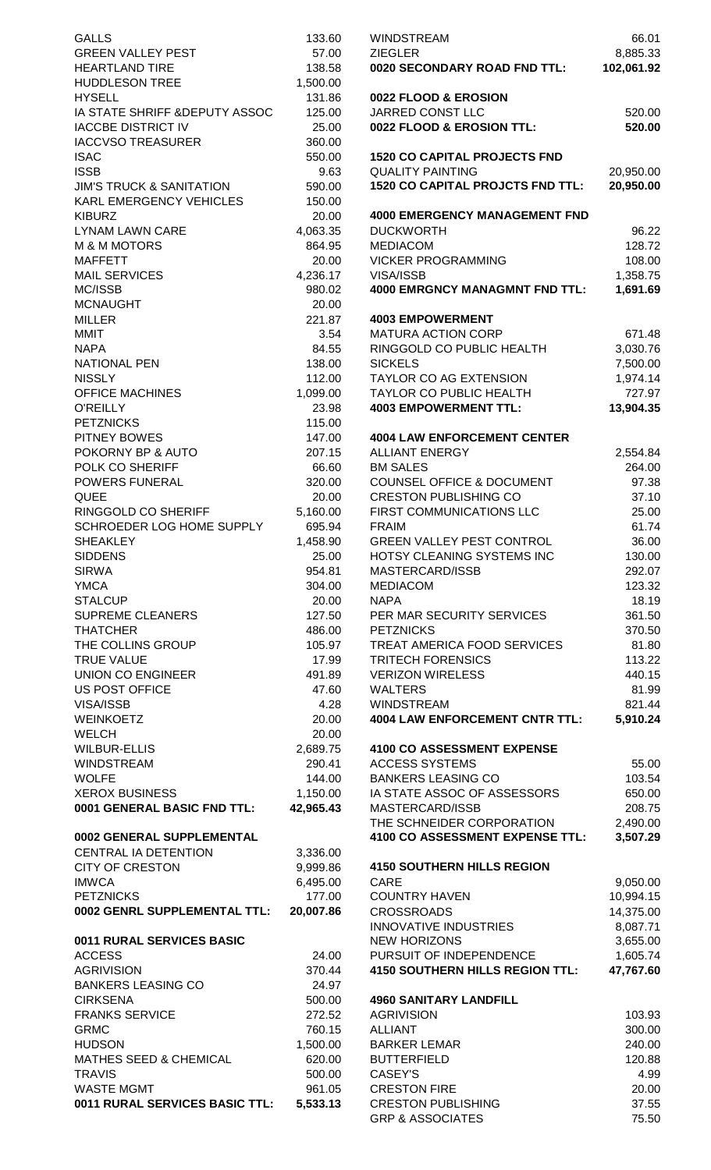| <b>GALLS</b>                        | 133.60          | <b>WINDSTREAM</b>                                           | 66.01          |
|-------------------------------------|-----------------|-------------------------------------------------------------|----------------|
| <b>GREEN VALLEY PEST</b>            | 57.00           | <b>ZIEGLER</b>                                              | 8,885.33       |
| <b>HEARTLAND TIRE</b>               | 138.58          | 0020 SECONDARY ROAD FND TTL:                                | 102,061.92     |
| <b>HUDDLESON TREE</b>               | 1,500.00        |                                                             |                |
| <b>HYSELL</b>                       | 131.86          | 0022 FLOOD & EROSION                                        |                |
| IA STATE SHRIFF & DEPUTY ASSOC      | 125.00          | JARRED CONST LLC                                            | 520.00         |
| <b>IACCBE DISTRICT IV</b>           | 25.00           | 0022 FLOOD & EROSION TTL:                                   | 520.00         |
| <b>IACCVSO TREASURER</b>            | 360.00          |                                                             |                |
| <b>ISAC</b>                         | 550.00          | <b>1520 CO CAPITAL PROJECTS FND</b>                         |                |
| <b>ISSB</b>                         | 9.63            | <b>QUALITY PAINTING</b>                                     | 20,950.00      |
| <b>JIM'S TRUCK &amp; SANITATION</b> | 590.00          | <b>1520 CO CAPITAL PROJCTS FND TTL:</b>                     | 20,950.00      |
| KARL EMERGENCY VEHICLES             | 150.00          |                                                             |                |
| <b>KIBURZ</b>                       | 20.00           | <b>4000 EMERGENCY MANAGEMENT FND</b>                        |                |
| LYNAM LAWN CARE                     | 4,063.35        | <b>DUCKWORTH</b>                                            | 96.22          |
| M & M MOTORS                        | 864.95          | <b>MEDIACOM</b>                                             | 128.72         |
| <b>MAFFETT</b>                      | 20.00           | <b>VICKER PROGRAMMING</b>                                   | 108.00         |
| <b>MAIL SERVICES</b>                | 4,236.17        | VISA/ISSB                                                   | 1,358.75       |
| MC/ISSB                             | 980.02          | <b>4000 EMRGNCY MANAGMNT FND TTL:</b>                       | 1,691.69       |
| <b>MCNAUGHT</b>                     | 20.00           |                                                             |                |
| MILLER                              | 221.87          | <b>4003 EMPOWERMENT</b>                                     |                |
| MMIT                                | 3.54            | <b>MATURA ACTION CORP</b>                                   | 671.48         |
| <b>NAPA</b>                         | 84.55           | RINGGOLD CO PUBLIC HEALTH                                   | 3,030.76       |
| <b>NATIONAL PEN</b>                 | 138.00          | <b>SICKELS</b>                                              | 7,500.00       |
| <b>NISSLY</b>                       | 112.00          | TAYLOR CO AG EXTENSION                                      | 1,974.14       |
| OFFICE MACHINES                     | 1,099.00        | TAYLOR CO PUBLIC HEALTH                                     | 727.97         |
| O'REILLY                            | 23.98           | <b>4003 EMPOWERMENT TTL:</b>                                | 13,904.35      |
| <b>PETZNICKS</b>                    | 115.00          |                                                             |                |
| PITNEY BOWES                        | 147.00          | <b>4004 LAW ENFORCEMENT CENTER</b><br><b>ALLIANT ENERGY</b> |                |
| POKORNY BP & AUTO                   | 207.15          | <b>BM SALES</b>                                             | 2,554.84       |
| POLK CO SHERIFF                     | 66.60           | <b>COUNSEL OFFICE &amp; DOCUMENT</b>                        | 264.00         |
| POWERS FUNERAL<br>QUEE              | 320.00<br>20.00 | <b>CRESTON PUBLISHING CO</b>                                | 97.38<br>37.10 |
| RINGGOLD CO SHERIFF                 | 5,160.00        | FIRST COMMUNICATIONS LLC                                    | 25.00          |
| SCHROEDER LOG HOME SUPPLY           | 695.94          | <b>FRAIM</b>                                                | 61.74          |
| <b>SHEAKLEY</b>                     | 1,458.90        | GREEN VALLEY PEST CONTROL                                   | 36.00          |
| <b>SIDDENS</b>                      | 25.00           | HOTSY CLEANING SYSTEMS INC                                  | 130.00         |
| <b>SIRWA</b>                        | 954.81          | MASTERCARD/ISSB                                             | 292.07         |
| <b>YMCA</b>                         | 304.00          | <b>MEDIACOM</b>                                             | 123.32         |
| <b>STALCUP</b>                      | 20.00           | <b>NAPA</b>                                                 | 18.19          |
| <b>SUPREME CLEANERS</b>             | 127.50          | PER MAR SECURITY SERVICES                                   | 361.50         |
| <b>THATCHER</b>                     | 486.00          | <b>PETZNICKS</b>                                            | 370.50         |
| THE COLLINS GROUP                   | 105.97          | TREAT AMERICA FOOD SERVICES                                 | 81.80          |
| <b>TRUE VALUE</b>                   | 17.99           | <b>TRITECH FORENSICS</b>                                    | 113.22         |
| UNION CO ENGINEER                   | 491.89          | <b>VERIZON WIRELESS</b>                                     | 440.15         |
| US POST OFFICE                      | 47.60           | <b>WALTERS</b>                                              | 81.99          |
| <b>VISA/ISSB</b>                    | 4.28            | <b>WINDSTREAM</b>                                           | 821.44         |
| WEINKOETZ                           | 20.00           | <b>4004 LAW ENFORCEMENT CNTR TTL:</b>                       | 5,910.24       |
| WELCH                               | 20.00           |                                                             |                |
| WILBUR-ELLIS                        | 2,689.75        | 4100 CO ASSESSMENT EXPENSE                                  |                |
| WINDSTREAM                          | 290.41          | <b>ACCESS SYSTEMS</b>                                       | 55.00          |
| WOLFE                               | 144.00          | <b>BANKERS LEASING CO</b>                                   | 103.54         |
| XEROX BUSINESS                      | 1,150.00        | IA STATE ASSOC OF ASSESSORS                                 | 650.00         |
| 0001 GENERAL BASIC FND TTL:         | 42,965.43       | MASTERCARD/ISSB                                             | 208.75         |
|                                     |                 | THE SCHNEIDER CORPORATION                                   | 2,490.00       |
| 0002 GENERAL SUPPLEMENTAL           |                 | 4100 CO ASSESSMENT EXPENSE TTL:                             | 3,507.29       |
| CENTRAL IA DETENTION                | 3,336.00        |                                                             |                |
| <b>CITY OF CRESTON</b>              | 9,999.86        | <b>4150 SOUTHERN HILLS REGION</b>                           |                |
| <b>IMWCA</b>                        | 6,495.00        | CARE                                                        | 9,050.00       |
| <b>PETZNICKS</b>                    | 177.00          | <b>COUNTRY HAVEN</b>                                        | 10,994.15      |
| 0002 GENRL SUPPLEMENTAL TTL:        | 20,007.86       | <b>CROSSROADS</b>                                           | 14,375.00      |
|                                     |                 | <b>INNOVATIVE INDUSTRIES</b>                                | 8,087.71       |
| 0011 RURAL SERVICES BASIC           |                 | <b>NEW HORIZONS</b>                                         | 3,655.00       |
| <b>ACCESS</b>                       | 24.00           | PURSUIT OF INDEPENDENCE                                     | 1,605.74       |
| <b>AGRIVISION</b>                   | 370.44          | <b>4150 SOUTHERN HILLS REGION TTL:</b>                      | 47,767.60      |
| <b>BANKERS LEASING CO</b>           | 24.97           |                                                             |                |
| <b>CIRKSENA</b>                     | 500.00          | <b>4960 SANITARY LANDFILL</b>                               |                |
| <b>FRANKS SERVICE</b>               | 272.52          | <b>AGRIVISION</b>                                           | 103.93         |
| <b>GRMC</b>                         | 760.15          | <b>ALLIANT</b>                                              | 300.00         |
| <b>HUDSON</b>                       | 1,500.00        | <b>BARKER LEMAR</b>                                         | 240.00         |
| MATHES SEED & CHEMICAL              | 620.00          | <b>BUTTERFIELD</b>                                          | 120.88         |
| <b>TRAVIS</b>                       | 500.00          | CASEY'S                                                     | 4.99           |
| WASTE MGMT                          | 961.05          | <b>CRESTON FIRE</b>                                         | 20.00          |
| 0011 RURAL SERVICES BASIC TTL:      | 5,533.13        | <b>CRESTON PUBLISHING</b>                                   | 37.55          |
|                                     |                 | <b>GRP &amp; ASSOCIATES</b>                                 | 75.50          |
|                                     |                 |                                                             |                |